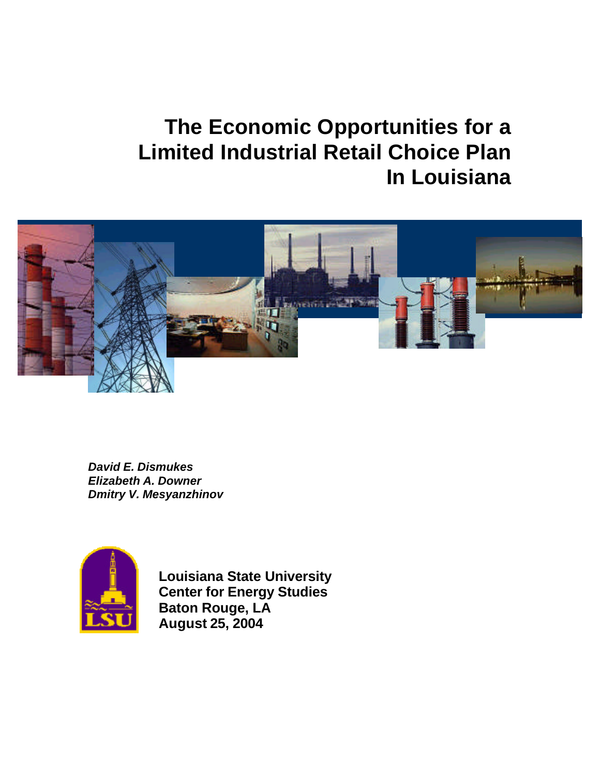# **The Economic Opportunities for a Limited Industrial Retail Choice Plan In Louisiana**



*David E. Dismukes Elizabeth A. Downer Dmitry V. Mesyanzhinov*



**Louisiana State University Center for Energy Studies Baton Rouge, LA August 25, 2004**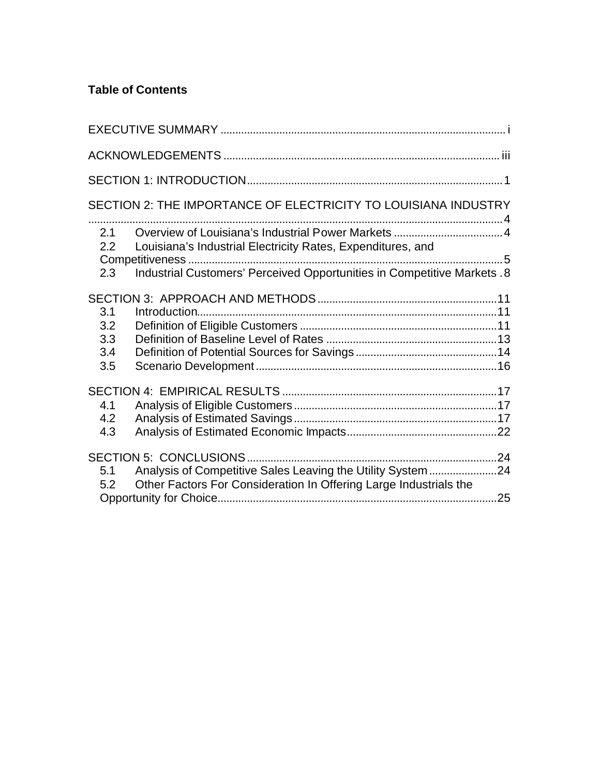# **Table of Contents**

| SECTION 2: THE IMPORTANCE OF ELECTRICITY TO LOUISIANA INDUSTRY                                                                                                                   |     |
|----------------------------------------------------------------------------------------------------------------------------------------------------------------------------------|-----|
| 2.1<br>Louisiana's Industrial Electricity Rates, Expenditures, and<br>2.2<br>5<br>Industrial Customers' Perceived Opportunities in Competitive Markets. 8<br>2.3                 |     |
| 3.1                                                                                                                                                                              |     |
| 3.2<br>3.3<br>3.4<br>3.5                                                                                                                                                         |     |
|                                                                                                                                                                                  |     |
| 4.1<br>4.2<br>4.3                                                                                                                                                                |     |
| <b>SECTION 5: CONCLUSIONS.</b><br>Analysis of Competitive Sales Leaving the Utility System 24<br>5.1<br>Other Factors For Consideration In Offering Large Industrials the<br>5.2 |     |
|                                                                                                                                                                                  | .25 |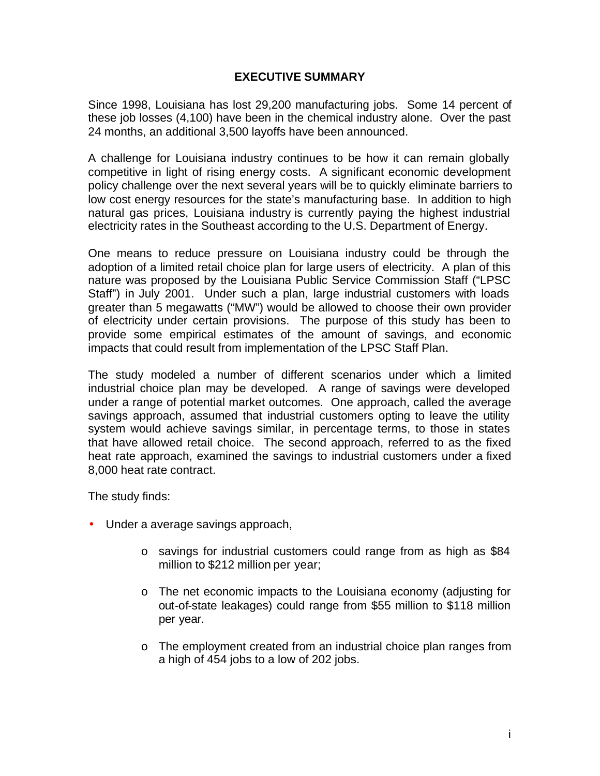#### **EXECUTIVE SUMMARY**

Since 1998, Louisiana has lost 29,200 manufacturing jobs. Some 14 percent of these job losses (4,100) have been in the chemical industry alone. Over the past 24 months, an additional 3,500 layoffs have been announced.

A challenge for Louisiana industry continues to be how it can remain globally competitive in light of rising energy costs. A significant economic development policy challenge over the next several years will be to quickly eliminate barriers to low cost energy resources for the state's manufacturing base. In addition to high natural gas prices, Louisiana industry is currently paying the highest industrial electricity rates in the Southeast according to the U.S. Department of Energy.

One means to reduce pressure on Louisiana industry could be through the adoption of a limited retail choice plan for large users of electricity. A plan of this nature was proposed by the Louisiana Public Service Commission Staff ("LPSC Staff") in July 2001. Under such a plan, large industrial customers with loads greater than 5 megawatts ("MW") would be allowed to choose their own provider of electricity under certain provisions. The purpose of this study has been to provide some empirical estimates of the amount of savings, and economic impacts that could result from implementation of the LPSC Staff Plan.

The study modeled a number of different scenarios under which a limited industrial choice plan may be developed. A range of savings were developed under a range of potential market outcomes. One approach, called the average savings approach, assumed that industrial customers opting to leave the utility system would achieve savings similar, in percentage terms, to those in states that have allowed retail choice. The second approach, referred to as the fixed heat rate approach, examined the savings to industrial customers under a fixed 8,000 heat rate contract.

The study finds:

- Under a average savings approach,
	- o savings for industrial customers could range from as high as \$84 million to \$212 million per year;
	- o The net economic impacts to the Louisiana economy (adjusting for out-of-state leakages) could range from \$55 million to \$118 million per year.
	- o The employment created from an industrial choice plan ranges from a high of 454 jobs to a low of 202 jobs.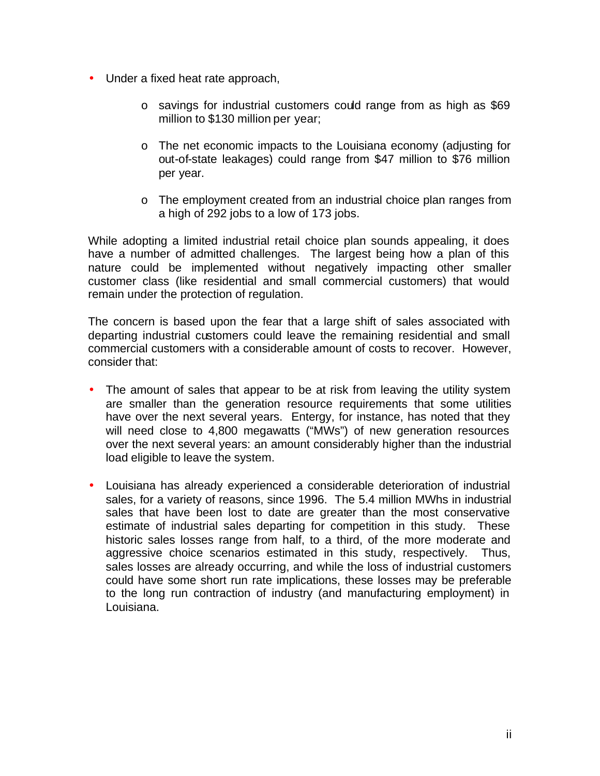- Under a fixed heat rate approach,
	- o savings for industrial customers could range from as high as \$69 million to \$130 million per year;
	- o The net economic impacts to the Louisiana economy (adjusting for out-of-state leakages) could range from \$47 million to \$76 million per year.
	- o The employment created from an industrial choice plan ranges from a high of 292 jobs to a low of 173 jobs.

While adopting a limited industrial retail choice plan sounds appealing, it does have a number of admitted challenges. The largest being how a plan of this nature could be implemented without negatively impacting other smaller customer class (like residential and small commercial customers) that would remain under the protection of regulation.

The concern is based upon the fear that a large shift of sales associated with departing industrial customers could leave the remaining residential and small commercial customers with a considerable amount of costs to recover. However, consider that:

- The amount of sales that appear to be at risk from leaving the utility system are smaller than the generation resource requirements that some utilities have over the next several years. Entergy, for instance, has noted that they will need close to 4,800 megawatts ("MWs") of new generation resources over the next several years: an amount considerably higher than the industrial load eligible to leave the system.
- Louisiana has already experienced a considerable deterioration of industrial sales, for a variety of reasons, since 1996. The 5.4 million MWhs in industrial sales that have been lost to date are greater than the most conservative estimate of industrial sales departing for competition in this study. These historic sales losses range from half, to a third, of the more moderate and aggressive choice scenarios estimated in this study, respectively. Thus, sales losses are already occurring, and while the loss of industrial customers could have some short run rate implications, these losses may be preferable to the long run contraction of industry (and manufacturing employment) in Louisiana.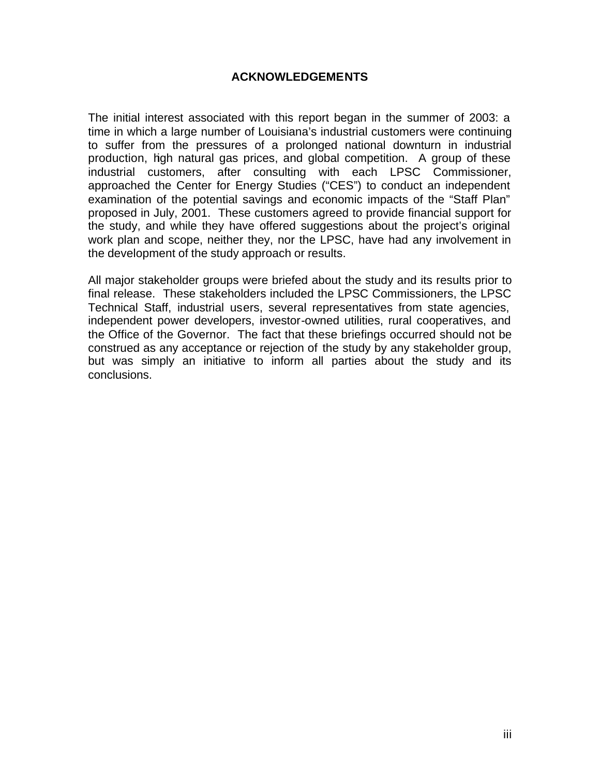## **ACKNOWLEDGEMENTS**

The initial interest associated with this report began in the summer of 2003: a time in which a large number of Louisiana's industrial customers were continuing to suffer from the pressures of a prolonged national downturn in industrial production, high natural gas prices, and global competition. A group of these industrial customers, after consulting with each LPSC Commissioner, approached the Center for Energy Studies ("CES") to conduct an independent examination of the potential savings and economic impacts of the "Staff Plan" proposed in July, 2001. These customers agreed to provide financial support for the study, and while they have offered suggestions about the project's original work plan and scope, neither they, nor the LPSC, have had any involvement in the development of the study approach or results.

All major stakeholder groups were briefed about the study and its results prior to final release. These stakeholders included the LPSC Commissioners, the LPSC Technical Staff, industrial users, several representatives from state agencies, independent power developers, investor-owned utilities, rural cooperatives, and the Office of the Governor. The fact that these briefings occurred should not be construed as any acceptance or rejection of the study by any stakeholder group, but was simply an initiative to inform all parties about the study and its conclusions.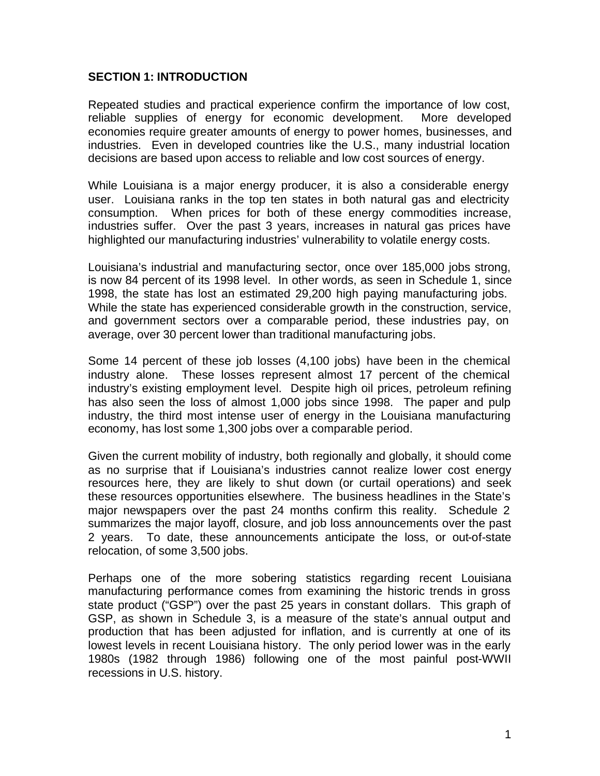#### **SECTION 1: INTRODUCTION**

Repeated studies and practical experience confirm the importance of low cost, reliable supplies of energy for economic development. More developed economies require greater amounts of energy to power homes, businesses, and industries. Even in developed countries like the U.S., many industrial location decisions are based upon access to reliable and low cost sources of energy.

While Louisiana is a major energy producer, it is also a considerable energy user. Louisiana ranks in the top ten states in both natural gas and electricity consumption. When prices for both of these energy commodities increase, industries suffer. Over the past 3 years, increases in natural gas prices have highlighted our manufacturing industries' vulnerability to volatile energy costs.

Louisiana's industrial and manufacturing sector, once over 185,000 jobs strong, is now 84 percent of its 1998 level. In other words, as seen in Schedule 1, since 1998, the state has lost an estimated 29,200 high paying manufacturing jobs. While the state has experienced considerable growth in the construction, service, and government sectors over a comparable period, these industries pay, on average, over 30 percent lower than traditional manufacturing jobs.

Some 14 percent of these job losses (4,100 jobs) have been in the chemical industry alone. These losses represent almost 17 percent of the chemical industry's existing employment level. Despite high oil prices, petroleum refining has also seen the loss of almost 1,000 jobs since 1998. The paper and pulp industry, the third most intense user of energy in the Louisiana manufacturing economy, has lost some 1,300 jobs over a comparable period.

Given the current mobility of industry, both regionally and globally, it should come as no surprise that if Louisiana's industries cannot realize lower cost energy resources here, they are likely to shut down (or curtail operations) and seek these resources opportunities elsewhere. The business headlines in the State's major newspapers over the past 24 months confirm this reality. Schedule 2 summarizes the major layoff, closure, and job loss announcements over the past 2 years. To date, these announcements anticipate the loss, or out-of-state relocation, of some 3,500 jobs.

Perhaps one of the more sobering statistics regarding recent Louisiana manufacturing performance comes from examining the historic trends in gross state product ("GSP") over the past 25 years in constant dollars. This graph of GSP, as shown in Schedule 3, is a measure of the state's annual output and production that has been adjusted for inflation, and is currently at one of its lowest levels in recent Louisiana history. The only period lower was in the early 1980s (1982 through 1986) following one of the most painful post-WWII recessions in U.S. history.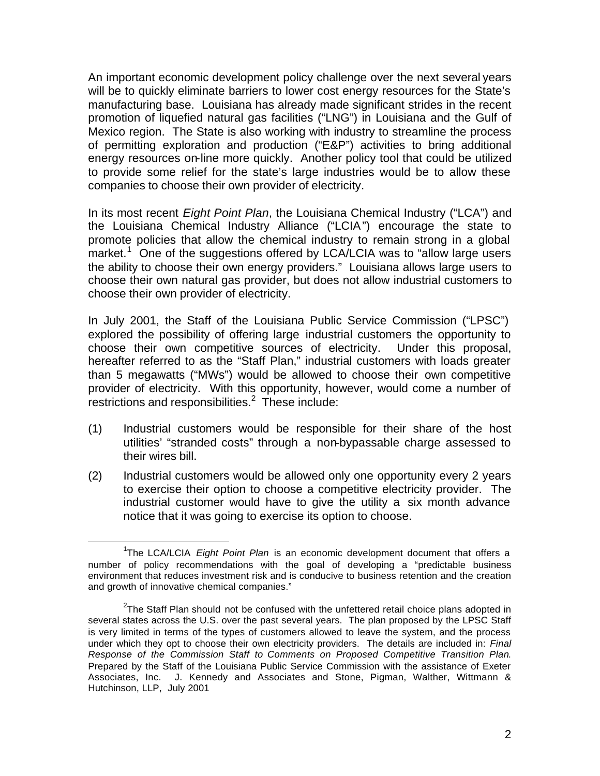An important economic development policy challenge over the next several years will be to quickly eliminate barriers to lower cost energy resources for the State's manufacturing base. Louisiana has already made significant strides in the recent promotion of liquefied natural gas facilities ("LNG") in Louisiana and the Gulf of Mexico region. The State is also working with industry to streamline the process of permitting exploration and production ("E&P") activities to bring additional energy resources on-line more quickly. Another policy tool that could be utilized to provide some relief for the state's large industries would be to allow these companies to choose their own provider of electricity.

In its most recent *Eight Point Plan*, the Louisiana Chemical Industry ("LCA") and the Louisiana Chemical Industry Alliance ("LCIA") encourage the state to promote policies that allow the chemical industry to remain strong in a global market.<sup>1</sup> One of the suggestions offered by LCA/LCIA was to "allow large users the ability to choose their own energy providers." Louisiana allows large users to choose their own natural gas provider, but does not allow industrial customers to choose their own provider of electricity.

In July 2001, the Staff of the Louisiana Public Service Commission ("LPSC") explored the possibility of offering large industrial customers the opportunity to choose their own competitive sources of electricity. Under this proposal, hereafter referred to as the "Staff Plan," industrial customers with loads greater than 5 megawatts ("MWs") would be allowed to choose their own competitive provider of electricity. With this opportunity, however, would come a number of restrictions and responsibilities. $2$  These include:

- (1) Industrial customers would be responsible for their share of the host utilities' "stranded costs" through a non-bypassable charge assessed to their wires bill.
- (2) Industrial customers would be allowed only one opportunity every 2 years to exercise their option to choose a competitive electricity provider. The industrial customer would have to give the utility a six month advance notice that it was going to exercise its option to choose.

 $\overline{a}$ <sup>1</sup>The LCA/LCIA *Eight Point Plan* is an economic development document that offers a number of policy recommendations with the goal of developing a "predictable business environment that reduces investment risk and is conducive to business retention and the creation and growth of innovative chemical companies."

 $2$ The Staff Plan should not be confused with the unfettered retail choice plans adopted in several states across the U.S. over the past several years. The plan proposed by the LPSC Staff is very limited in terms of the types of customers allowed to leave the system, and the process under which they opt to choose their own electricity providers. The details are included in: *Final Response of the Commission Staff to Comments on Proposed Competitive Transition Plan*. Prepared by the Staff of the Louisiana Public Service Commission with the assistance of Exeter Associates, Inc. J. Kennedy and Associates and Stone, Pigman, Walther, Wittmann & Hutchinson, LLP, July 2001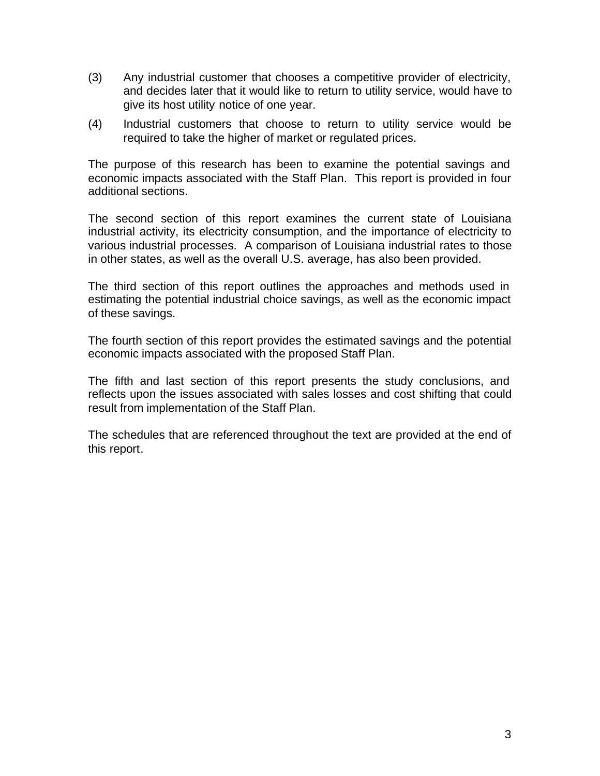- (3) Any industrial customer that chooses a competitive provider of electricity, and decides later that it would like to return to utility service, would have to give its host utility notice of one year.
- (4) Industrial customers that choose to return to utility service would be required to take the higher of market or regulated prices.

The purpose of this research has been to examine the potential savings and economic impacts associated with the Staff Plan. This report is provided in four additional sections.

The second section of this report examines the current state of Louisiana industrial activity, its electricity consumption, and the importance of electricity to various industrial processes. A comparison of Louisiana industrial rates to those in other states, as well as the overall U.S. average, has also been provided.

The third section of this report outlines the approaches and methods used in estimating the potential industrial choice savings, as well as the economic impact of these savings.

The fourth section of this report provides the estimated savings and the potential economic impacts associated with the proposed Staff Plan.

The fifth and last section of this report presents the study conclusions, and reflects upon the issues associated with sales losses and cost shifting that could result from implementation of the Staff Plan.

The schedules that are referenced throughout the text are provided at the end of this report.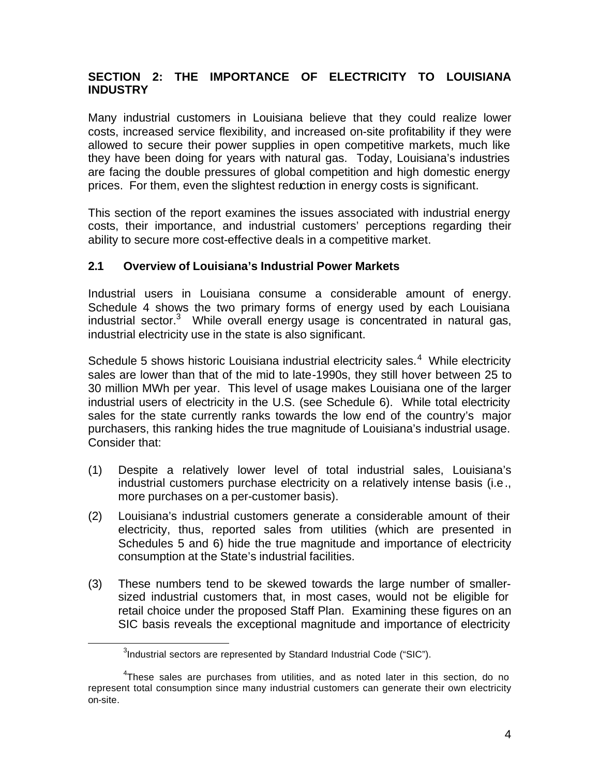# **SECTION 2: THE IMPORTANCE OF ELECTRICITY TO LOUISIANA INDUSTRY**

Many industrial customers in Louisiana believe that they could realize lower costs, increased service flexibility, and increased on-site profitability if they were allowed to secure their power supplies in open competitive markets, much like they have been doing for years with natural gas. Today, Louisiana's industries are facing the double pressures of global competition and high domestic energy prices. For them, even the slightest reduction in energy costs is significant.

This section of the report examines the issues associated with industrial energy costs, their importance, and industrial customers' perceptions regarding their ability to secure more cost-effective deals in a competitive market.

## **2.1 Overview of Louisiana's Industrial Power Markets**

Industrial users in Louisiana consume a considerable amount of energy. Schedule 4 shows the two primary forms of energy used by each Louisiana industrial sector.<sup>3</sup> While overall energy usage is concentrated in natural gas, industrial electricity use in the state is also significant.

Schedule 5 shows historic Louisiana industrial electricity sales. $4$  While electricity sales are lower than that of the mid to late-1990s, they still hover between 25 to 30 million MWh per year. This level of usage makes Louisiana one of the larger industrial users of electricity in the U.S. (see Schedule 6). While total electricity sales for the state currently ranks towards the low end of the country's major purchasers, this ranking hides the true magnitude of Louisiana's industrial usage. Consider that:

- (1) Despite a relatively lower level of total industrial sales, Louisiana's industrial customers purchase electricity on a relatively intense basis (i.e., more purchases on a per-customer basis).
- (2) Louisiana's industrial customers generate a considerable amount of their electricity, thus, reported sales from utilities (which are presented in Schedules 5 and 6) hide the true magnitude and importance of electricity consumption at the State's industrial facilities.
- (3) These numbers tend to be skewed towards the large number of smallersized industrial customers that, in most cases, would not be eligible for retail choice under the proposed Staff Plan. Examining these figures on an SIC basis reveals the exceptional magnitude and importance of electricity

 $\overline{a}$ 

 $3$ Industrial sectors are represented by Standard Industrial Code ("SIC").

<sup>&</sup>lt;sup>4</sup>These sales are purchases from utilities, and as noted later in this section, do no represent total consumption since many industrial customers can generate their own electricity on-site.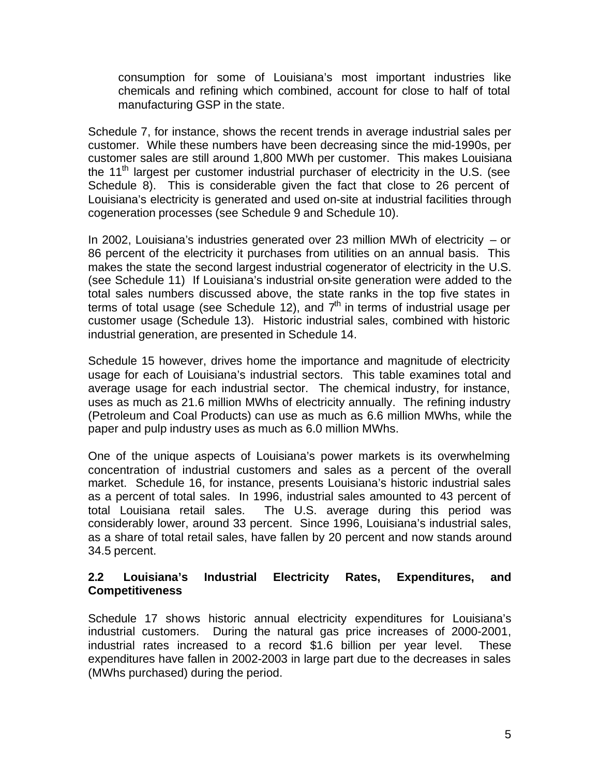consumption for some of Louisiana's most important industries like chemicals and refining which combined, account for close to half of total manufacturing GSP in the state.

Schedule 7, for instance, shows the recent trends in average industrial sales per customer. While these numbers have been decreasing since the mid-1990s, per customer sales are still around 1,800 MWh per customer. This makes Louisiana the 11<sup>th</sup> largest per customer industrial purchaser of electricity in the U.S. (see Schedule 8). This is considerable given the fact that close to 26 percent of Louisiana's electricity is generated and used on-site at industrial facilities through cogeneration processes (see Schedule 9 and Schedule 10).

In 2002, Louisiana's industries generated over 23 million MWh of electricity – or 86 percent of the electricity it purchases from utilities on an annual basis. This makes the state the second largest industrial cogenerator of electricity in the U.S. (see Schedule 11) If Louisiana's industrial on-site generation were added to the total sales numbers discussed above, the state ranks in the top five states in terms of total usage (see Schedule 12), and  $7<sup>th</sup>$  in terms of industrial usage per customer usage (Schedule 13). Historic industrial sales, combined with historic industrial generation, are presented in Schedule 14.

Schedule 15 however, drives home the importance and magnitude of electricity usage for each of Louisiana's industrial sectors. This table examines total and average usage for each industrial sector. The chemical industry, for instance, uses as much as 21.6 million MWhs of electricity annually. The refining industry (Petroleum and Coal Products) can use as much as 6.6 million MWhs, while the paper and pulp industry uses as much as 6.0 million MWhs.

One of the unique aspects of Louisiana's power markets is its overwhelming concentration of industrial customers and sales as a percent of the overall market. Schedule 16, for instance, presents Louisiana's historic industrial sales as a percent of total sales. In 1996, industrial sales amounted to 43 percent of total Louisiana retail sales. The U.S. average during this period was considerably lower, around 33 percent. Since 1996, Louisiana's industrial sales, as a share of total retail sales, have fallen by 20 percent and now stands around 34.5 percent.

#### **2.2 Louisiana's Industrial Electricity Rates, Expenditures, and Competitiveness**

Schedule 17 shows historic annual electricity expenditures for Louisiana's industrial customers. During the natural gas price increases of 2000-2001, industrial rates increased to a record \$1.6 billion per year level. These expenditures have fallen in 2002-2003 in large part due to the decreases in sales (MWhs purchased) during the period.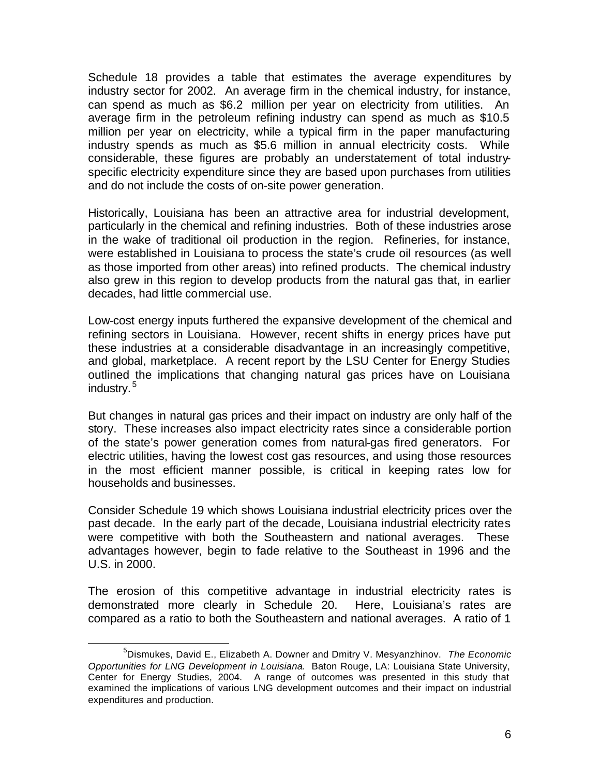Schedule 18 provides a table that estimates the average expenditures by industry sector for 2002. An average firm in the chemical industry, for instance, can spend as much as \$6.2 million per year on electricity from utilities. An average firm in the petroleum refining industry can spend as much as \$10.5 million per year on electricity, while a typical firm in the paper manufacturing industry spends as much as \$5.6 million in annual electricity costs. While considerable, these figures are probably an understatement of total industryspecific electricity expenditure since they are based upon purchases from utilities and do not include the costs of on-site power generation.

Historically, Louisiana has been an attractive area for industrial development, particularly in the chemical and refining industries. Both of these industries arose in the wake of traditional oil production in the region. Refineries, for instance, were established in Louisiana to process the state's crude oil resources (as well as those imported from other areas) into refined products. The chemical industry also grew in this region to develop products from the natural gas that, in earlier decades, had little commercial use.

Low-cost energy inputs furthered the expansive development of the chemical and refining sectors in Louisiana. However, recent shifts in energy prices have put these industries at a considerable disadvantage in an increasingly competitive, and global, marketplace. A recent report by the LSU Center for Energy Studies outlined the implications that changing natural gas prices have on Louisiana industry.<sup>5</sup>

But changes in natural gas prices and their impact on industry are only half of the story. These increases also impact electricity rates since a considerable portion of the state's power generation comes from natural-gas fired generators. For electric utilities, having the lowest cost gas resources, and using those resources in the most efficient manner possible, is critical in keeping rates low for households and businesses.

Consider Schedule 19 which shows Louisiana industrial electricity prices over the past decade. In the early part of the decade, Louisiana industrial electricity rates were competitive with both the Southeastern and national averages. These advantages however, begin to fade relative to the Southeast in 1996 and the U.S. in 2000.

The erosion of this competitive advantage in industrial electricity rates is demonstrated more clearly in Schedule 20. Here, Louisiana's rates are compared as a ratio to both the Southeastern and national averages. A ratio of 1

 $\overline{a}$ <sup>5</sup>Dismukes, David E., Elizabeth A. Downer and Dmitry V. Mesyanzhinov. *The Economic Opportunities for LNG Development in Louisiana*. Baton Rouge, LA: Louisiana State University, Center for Energy Studies, 2004. A range of outcomes was presented in this study that examined the implications of various LNG development outcomes and their impact on industrial expenditures and production.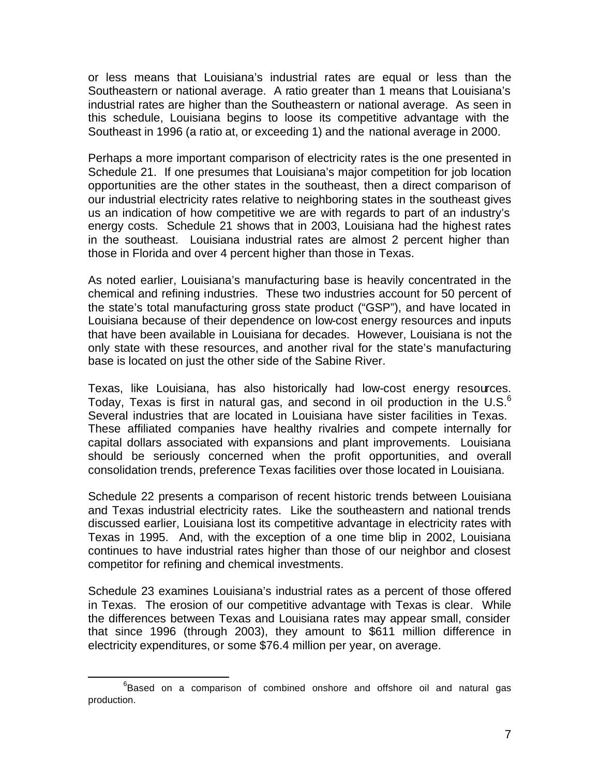or less means that Louisiana's industrial rates are equal or less than the Southeastern or national average. A ratio greater than 1 means that Louisiana's industrial rates are higher than the Southeastern or national average. As seen in this schedule, Louisiana begins to loose its competitive advantage with the Southeast in 1996 (a ratio at, or exceeding 1) and the national average in 2000.

Perhaps a more important comparison of electricity rates is the one presented in Schedule 21. If one presumes that Louisiana's major competition for job location opportunities are the other states in the southeast, then a direct comparison of our industrial electricity rates relative to neighboring states in the southeast gives us an indication of how competitive we are with regards to part of an industry's energy costs. Schedule 21 shows that in 2003, Louisiana had the highest rates in the southeast. Louisiana industrial rates are almost 2 percent higher than those in Florida and over 4 percent higher than those in Texas.

As noted earlier, Louisiana's manufacturing base is heavily concentrated in the chemical and refining industries. These two industries account for 50 percent of the state's total manufacturing gross state product ("GSP"), and have located in Louisiana because of their dependence on low-cost energy resources and inputs that have been available in Louisiana for decades. However, Louisiana is not the only state with these resources, and another rival for the state's manufacturing base is located on just the other side of the Sabine River.

Texas, like Louisiana, has also historically had low-cost energy resources. Today, Texas is first in natural gas, and second in oil production in the U.S. $^6$ Several industries that are located in Louisiana have sister facilities in Texas. These affiliated companies have healthy rivalries and compete internally for capital dollars associated with expansions and plant improvements. Louisiana should be seriously concerned when the profit opportunities, and overall consolidation trends, preference Texas facilities over those located in Louisiana.

Schedule 22 presents a comparison of recent historic trends between Louisiana and Texas industrial electricity rates. Like the southeastern and national trends discussed earlier, Louisiana lost its competitive advantage in electricity rates with Texas in 1995. And, with the exception of a one time blip in 2002, Louisiana continues to have industrial rates higher than those of our neighbor and closest competitor for refining and chemical investments.

Schedule 23 examines Louisiana's industrial rates as a percent of those offered in Texas. The erosion of our competitive advantage with Texas is clear. While the differences between Texas and Louisiana rates may appear small, consider that since 1996 (through 2003), they amount to \$611 million difference in electricity expenditures, or some \$76.4 million per year, on average.

 $\overline{a}$  ${}^{6}$ Based on a comparison of combined onshore and offshore oil and natural gas production.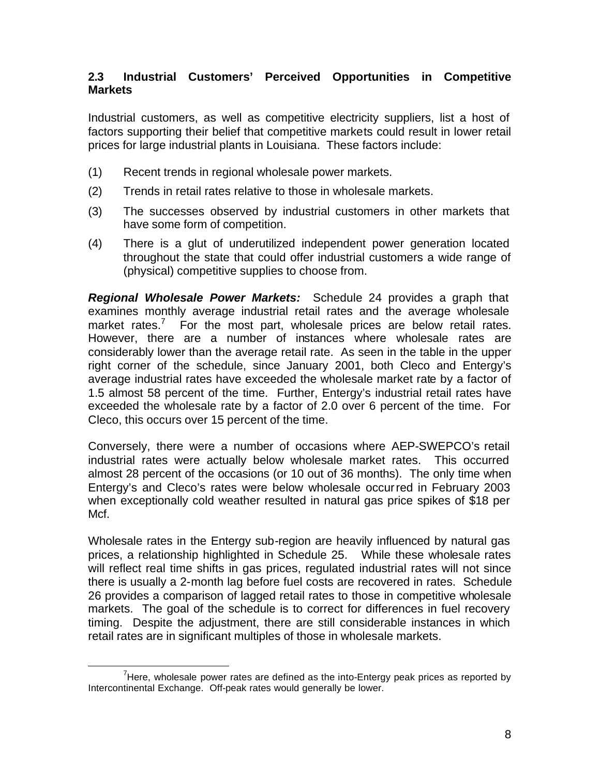## **2.3 Industrial Customers' Perceived Opportunities in Competitive Markets**

Industrial customers, as well as competitive electricity suppliers, list a host of factors supporting their belief that competitive markets could result in lower retail prices for large industrial plants in Louisiana. These factors include:

- (1) Recent trends in regional wholesale power markets.
- (2) Trends in retail rates relative to those in wholesale markets.
- (3) The successes observed by industrial customers in other markets that have some form of competition.
- (4) There is a glut of underutilized independent power generation located throughout the state that could offer industrial customers a wide range of (physical) competitive supplies to choose from.

*Regional Wholesale Power Markets:* Schedule 24 provides a graph that examines monthly average industrial retail rates and the average wholesale market rates.<sup>7</sup> For the most part, wholesale prices are below retail rates. However, there are a number of instances where wholesale rates are considerably lower than the average retail rate. As seen in the table in the upper right corner of the schedule, since January 2001, both Cleco and Entergy's average industrial rates have exceeded the wholesale market rate by a factor of 1.5 almost 58 percent of the time. Further, Entergy's industrial retail rates have exceeded the wholesale rate by a factor of 2.0 over 6 percent of the time. For Cleco, this occurs over 15 percent of the time.

Conversely, there were a number of occasions where AEP-SWEPCO's retail industrial rates were actually below wholesale market rates. This occurred almost 28 percent of the occasions (or 10 out of 36 months). The only time when Entergy's and Cleco's rates were below wholesale occurred in February 2003 when exceptionally cold weather resulted in natural gas price spikes of \$18 per Mcf.

Wholesale rates in the Entergy sub-region are heavily influenced by natural gas prices, a relationship highlighted in Schedule 25. While these wholesale rates will reflect real time shifts in gas prices, regulated industrial rates will not since there is usually a 2-month lag before fuel costs are recovered in rates. Schedule 26 provides a comparison of lagged retail rates to those in competitive wholesale markets. The goal of the schedule is to correct for differences in fuel recovery timing. Despite the adjustment, there are still considerable instances in which retail rates are in significant multiples of those in wholesale markets.

 $\overline{a}$  $7$ Here, wholesale power rates are defined as the into-Entergy peak prices as reported by Intercontinental Exchange. Off-peak rates would generally be lower.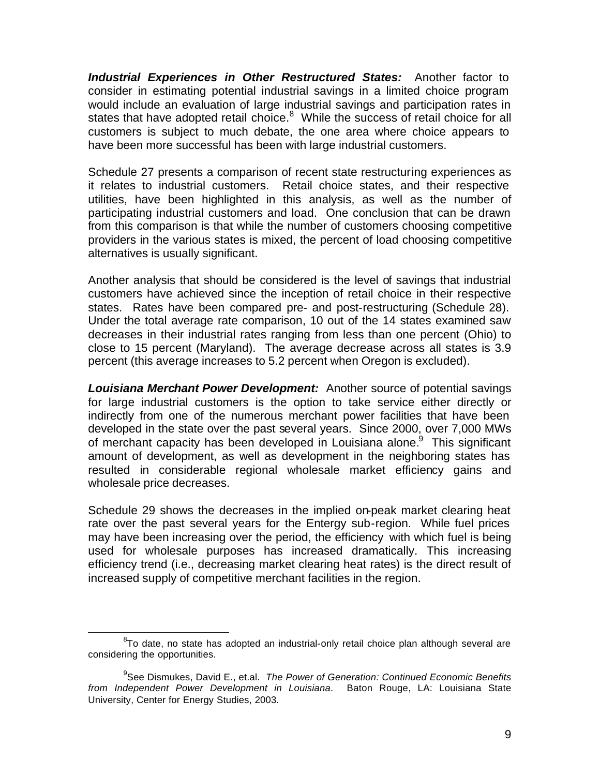*Industrial Experiences in Other Restructured States:* Another factor to consider in estimating potential industrial savings in a limited choice program would include an evaluation of large industrial savings and participation rates in states that have adopted retail choice.<sup>8</sup> While the success of retail choice for all customers is subject to much debate, the one area where choice appears to have been more successful has been with large industrial customers.

Schedule 27 presents a comparison of recent state restructuring experiences as it relates to industrial customers. Retail choice states, and their respective utilities, have been highlighted in this analysis, as well as the number of participating industrial customers and load. One conclusion that can be drawn from this comparison is that while the number of customers choosing competitive providers in the various states is mixed, the percent of load choosing competitive alternatives is usually significant.

Another analysis that should be considered is the level of savings that industrial customers have achieved since the inception of retail choice in their respective states. Rates have been compared pre- and post-restructuring (Schedule 28). Under the total average rate comparison, 10 out of the 14 states examined saw decreases in their industrial rates ranging from less than one percent (Ohio) to close to 15 percent (Maryland). The average decrease across all states is 3.9 percent (this average increases to 5.2 percent when Oregon is excluded).

*Louisiana Merchant Power Development:* Another source of potential savings for large industrial customers is the option to take service either directly or indirectly from one of the numerous merchant power facilities that have been developed in the state over the past several years. Since 2000, over 7,000 MWs of merchant capacity has been developed in Louisiana alone.<sup>9</sup> This significant amount of development, as well as development in the neighboring states has resulted in considerable regional wholesale market efficiency gains and wholesale price decreases.

Schedule 29 shows the decreases in the implied on-peak market clearing heat rate over the past several years for the Entergy sub-region. While fuel prices may have been increasing over the period, the efficiency with which fuel is being used for wholesale purposes has increased dramatically. This increasing efficiency trend (i.e., decreasing market clearing heat rates) is the direct result of increased supply of competitive merchant facilities in the region.

 $\overline{a}$  $8$ To date, no state has adopted an industrial-only retail choice plan although several are considering the opportunities.

<sup>9</sup> See Dismukes, David E., et.al. *The Power of Generation: Continued Economic Benefits from Independent Power Development in Louisiana*. Baton Rouge, LA: Louisiana State University, Center for Energy Studies, 2003.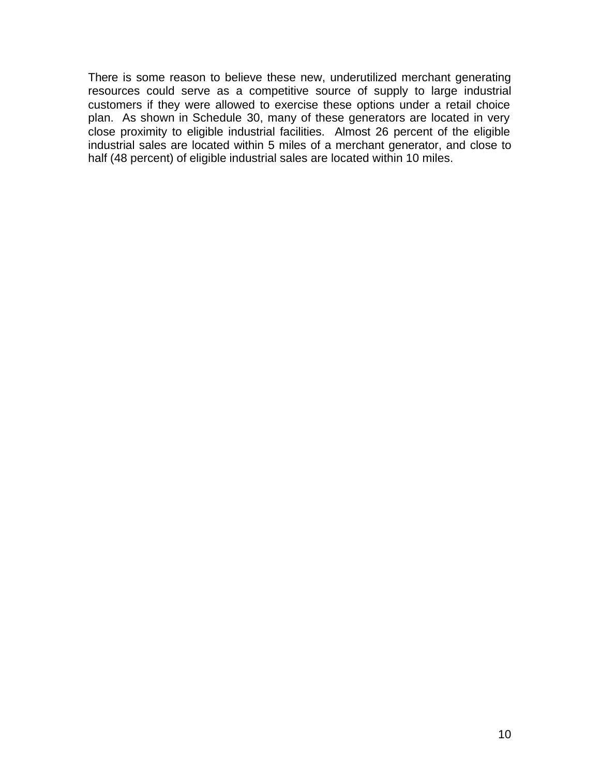There is some reason to believe these new, underutilized merchant generating resources could serve as a competitive source of supply to large industrial customers if they were allowed to exercise these options under a retail choice plan. As shown in Schedule 30, many of these generators are located in very close proximity to eligible industrial facilities. Almost 26 percent of the eligible industrial sales are located within 5 miles of a merchant generator, and close to half (48 percent) of eligible industrial sales are located within 10 miles.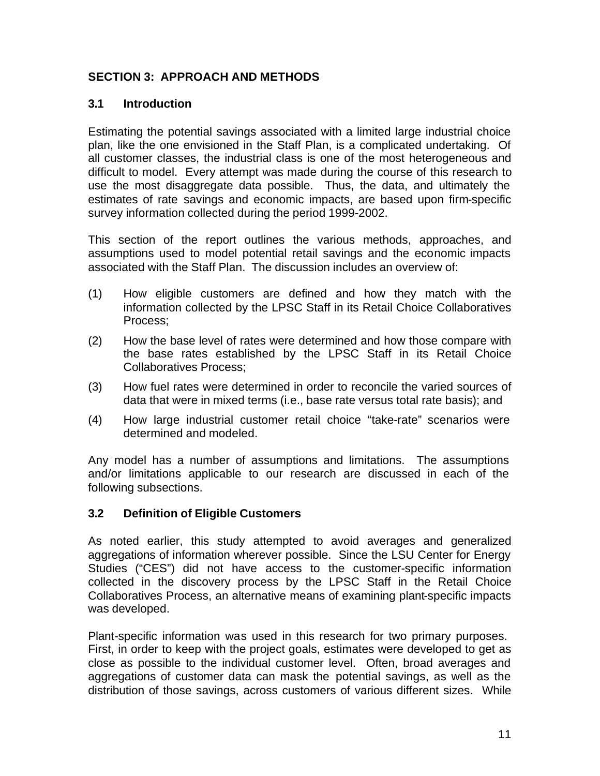# **SECTION 3: APPROACH AND METHODS**

#### **3.1 Introduction**

Estimating the potential savings associated with a limited large industrial choice plan, like the one envisioned in the Staff Plan, is a complicated undertaking. Of all customer classes, the industrial class is one of the most heterogeneous and difficult to model. Every attempt was made during the course of this research to use the most disaggregate data possible. Thus, the data, and ultimately the estimates of rate savings and economic impacts, are based upon firm-specific survey information collected during the period 1999-2002.

This section of the report outlines the various methods, approaches, and assumptions used to model potential retail savings and the economic impacts associated with the Staff Plan. The discussion includes an overview of:

- (1) How eligible customers are defined and how they match with the information collected by the LPSC Staff in its Retail Choice Collaboratives Process;
- (2) How the base level of rates were determined and how those compare with the base rates established by the LPSC Staff in its Retail Choice Collaboratives Process;
- (3) How fuel rates were determined in order to reconcile the varied sources of data that were in mixed terms (i.e., base rate versus total rate basis); and
- (4) How large industrial customer retail choice "take-rate" scenarios were determined and modeled.

Any model has a number of assumptions and limitations. The assumptions and/or limitations applicable to our research are discussed in each of the following subsections.

#### **3.2 Definition of Eligible Customers**

As noted earlier, this study attempted to avoid averages and generalized aggregations of information wherever possible. Since the LSU Center for Energy Studies ("CES") did not have access to the customer-specific information collected in the discovery process by the LPSC Staff in the Retail Choice Collaboratives Process, an alternative means of examining plant-specific impacts was developed.

Plant-specific information was used in this research for two primary purposes. First, in order to keep with the project goals, estimates were developed to get as close as possible to the individual customer level. Often, broad averages and aggregations of customer data can mask the potential savings, as well as the distribution of those savings, across customers of various different sizes. While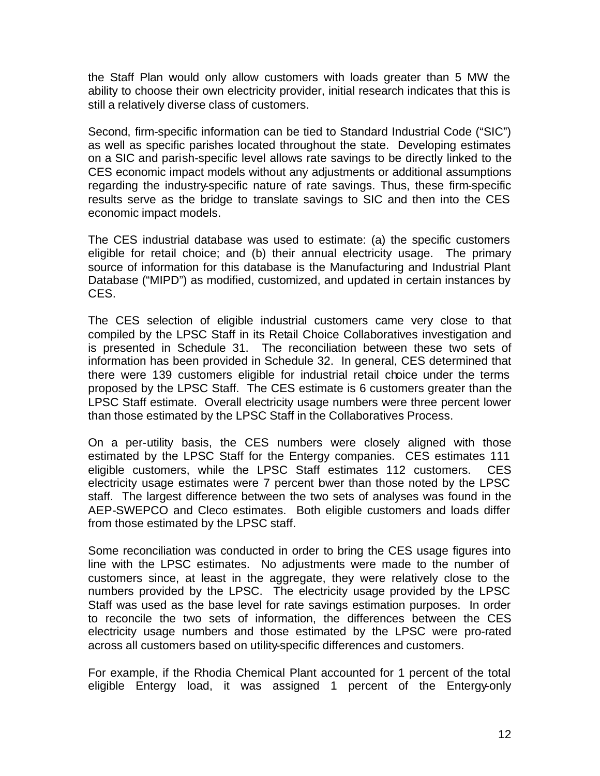the Staff Plan would only allow customers with loads greater than 5 MW the ability to choose their own electricity provider, initial research indicates that this is still a relatively diverse class of customers.

Second, firm-specific information can be tied to Standard Industrial Code ("SIC") as well as specific parishes located throughout the state. Developing estimates on a SIC and parish-specific level allows rate savings to be directly linked to the CES economic impact models without any adjustments or additional assumptions regarding the industry-specific nature of rate savings. Thus, these firm-specific results serve as the bridge to translate savings to SIC and then into the CES economic impact models.

The CES industrial database was used to estimate: (a) the specific customers eligible for retail choice; and (b) their annual electricity usage. The primary source of information for this database is the Manufacturing and Industrial Plant Database ("MIPD") as modified, customized, and updated in certain instances by CES.

The CES selection of eligible industrial customers came very close to that compiled by the LPSC Staff in its Retail Choice Collaboratives investigation and is presented in Schedule 31. The reconciliation between these two sets of information has been provided in Schedule 32. In general, CES determined that there were 139 customers eligible for industrial retail choice under the terms proposed by the LPSC Staff. The CES estimate is 6 customers greater than the LPSC Staff estimate. Overall electricity usage numbers were three percent lower than those estimated by the LPSC Staff in the Collaboratives Process.

On a per-utility basis, the CES numbers were closely aligned with those estimated by the LPSC Staff for the Entergy companies. CES estimates 111 eligible customers, while the LPSC Staff estimates 112 customers. CES electricity usage estimates were 7 percent bwer than those noted by the LPSC staff. The largest difference between the two sets of analyses was found in the AEP-SWEPCO and Cleco estimates. Both eligible customers and loads differ from those estimated by the LPSC staff.

Some reconciliation was conducted in order to bring the CES usage figures into line with the LPSC estimates. No adjustments were made to the number of customers since, at least in the aggregate, they were relatively close to the numbers provided by the LPSC. The electricity usage provided by the LPSC Staff was used as the base level for rate savings estimation purposes. In order to reconcile the two sets of information, the differences between the CES electricity usage numbers and those estimated by the LPSC were pro-rated across all customers based on utility-specific differences and customers.

For example, if the Rhodia Chemical Plant accounted for 1 percent of the total eligible Entergy load, it was assigned 1 percent of the Entergy-only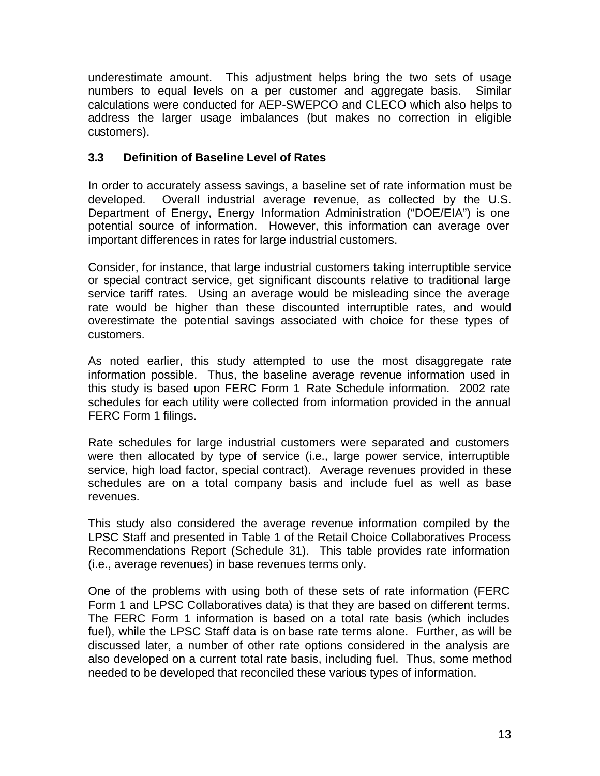underestimate amount. This adjustment helps bring the two sets of usage numbers to equal levels on a per customer and aggregate basis. Similar calculations were conducted for AEP-SWEPCO and CLECO which also helps to address the larger usage imbalances (but makes no correction in eligible customers).

## **3.3 Definition of Baseline Level of Rates**

In order to accurately assess savings, a baseline set of rate information must be developed. Overall industrial average revenue, as collected by the U.S. Department of Energy, Energy Information Administration ("DOE/EIA") is one potential source of information. However, this information can average over important differences in rates for large industrial customers.

Consider, for instance, that large industrial customers taking interruptible service or special contract service, get significant discounts relative to traditional large service tariff rates. Using an average would be misleading since the average rate would be higher than these discounted interruptible rates, and would overestimate the potential savings associated with choice for these types of customers.

As noted earlier, this study attempted to use the most disaggregate rate information possible. Thus, the baseline average revenue information used in this study is based upon FERC Form 1 Rate Schedule information. 2002 rate schedules for each utility were collected from information provided in the annual FERC Form 1 filings.

Rate schedules for large industrial customers were separated and customers were then allocated by type of service (i.e., large power service, interruptible service, high load factor, special contract). Average revenues provided in these schedules are on a total company basis and include fuel as well as base revenues.

This study also considered the average revenue information compiled by the LPSC Staff and presented in Table 1 of the Retail Choice Collaboratives Process Recommendations Report (Schedule 31). This table provides rate information (i.e., average revenues) in base revenues terms only.

One of the problems with using both of these sets of rate information (FERC Form 1 and LPSC Collaboratives data) is that they are based on different terms. The FERC Form 1 information is based on a total rate basis (which includes fuel), while the LPSC Staff data is on base rate terms alone. Further, as will be discussed later, a number of other rate options considered in the analysis are also developed on a current total rate basis, including fuel. Thus, some method needed to be developed that reconciled these various types of information.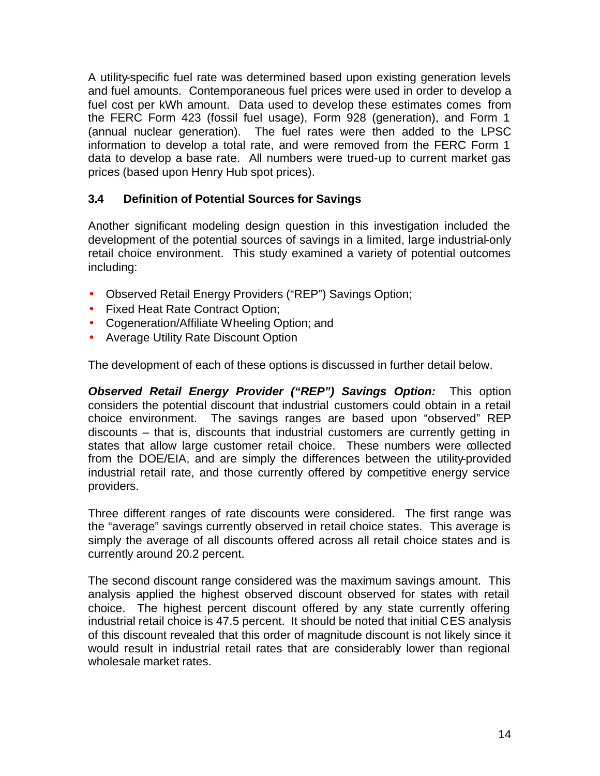A utility-specific fuel rate was determined based upon existing generation levels and fuel amounts. Contemporaneous fuel prices were used in order to develop a fuel cost per kWh amount. Data used to develop these estimates comes from the FERC Form 423 (fossil fuel usage), Form 928 (generation), and Form 1 (annual nuclear generation). The fuel rates were then added to the LPSC information to develop a total rate, and were removed from the FERC Form 1 data to develop a base rate. All numbers were trued-up to current market gas prices (based upon Henry Hub spot prices).

## **3.4 Definition of Potential Sources for Savings**

Another significant modeling design question in this investigation included the development of the potential sources of savings in a limited, large industrial-only retail choice environment. This study examined a variety of potential outcomes including:

- Observed Retail Energy Providers ("REP") Savings Option;
- Fixed Heat Rate Contract Option;
- Cogeneration/Affiliate Wheeling Option; and
- Average Utility Rate Discount Option

The development of each of these options is discussed in further detail below.

*Observed Retail Energy Provider ("REP") Savings Option:* This option considers the potential discount that industrial customers could obtain in a retail choice environment. The savings ranges are based upon "observed" REP discounts – that is, discounts that industrial customers are currently getting in states that allow large customer retail choice. These numbers were collected from the DOE/EIA, and are simply the differences between the utility-provided industrial retail rate, and those currently offered by competitive energy service providers.

Three different ranges of rate discounts were considered. The first range was the "average" savings currently observed in retail choice states. This average is simply the average of all discounts offered across all retail choice states and is currently around 20.2 percent.

The second discount range considered was the maximum savings amount. This analysis applied the highest observed discount observed for states with retail choice. The highest percent discount offered by any state currently offering industrial retail choice is 47.5 percent. It should be noted that initial CES analysis of this discount revealed that this order of magnitude discount is not likely since it would result in industrial retail rates that are considerably lower than regional wholesale market rates.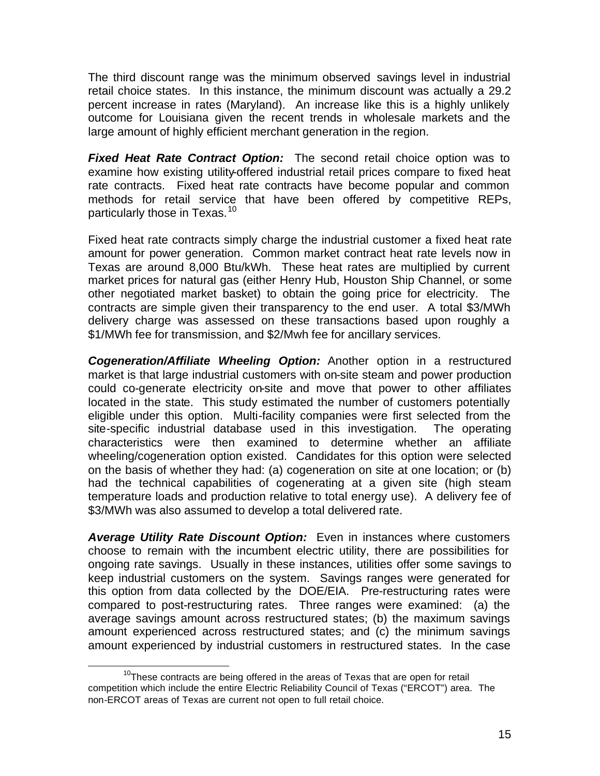The third discount range was the minimum observed savings level in industrial retail choice states. In this instance, the minimum discount was actually a 29.2 percent increase in rates (Maryland). An increase like this is a highly unlikely outcome for Louisiana given the recent trends in wholesale markets and the large amount of highly efficient merchant generation in the region.

*Fixed Heat Rate Contract Option:* The second retail choice option was to examine how existing utility-offered industrial retail prices compare to fixed heat rate contracts. Fixed heat rate contracts have become popular and common methods for retail service that have been offered by competitive REPs, particularly those in Texas.<sup>10</sup>

Fixed heat rate contracts simply charge the industrial customer a fixed heat rate amount for power generation. Common market contract heat rate levels now in Texas are around 8,000 Btu/kWh. These heat rates are multiplied by current market prices for natural gas (either Henry Hub, Houston Ship Channel, or some other negotiated market basket) to obtain the going price for electricity. The contracts are simple given their transparency to the end user. A total \$3/MWh delivery charge was assessed on these transactions based upon roughly a \$1/MWh fee for transmission, and \$2/Mwh fee for ancillary services.

*Cogeneration/Affiliate Wheeling Option:* Another option in a restructured market is that large industrial customers with on-site steam and power production could co-generate electricity on-site and move that power to other affiliates located in the state. This study estimated the number of customers potentially eligible under this option. Multi-facility companies were first selected from the site-specific industrial database used in this investigation. The operating characteristics were then examined to determine whether an affiliate wheeling/cogeneration option existed. Candidates for this option were selected on the basis of whether they had: (a) cogeneration on site at one location; or (b) had the technical capabilities of cogenerating at a given site (high steam temperature loads and production relative to total energy use). A delivery fee of \$3/MWh was also assumed to develop a total delivered rate.

*Average Utility Rate Discount Option:* Even in instances where customers choose to remain with the incumbent electric utility, there are possibilities for ongoing rate savings. Usually in these instances, utilities offer some savings to keep industrial customers on the system. Savings ranges were generated for this option from data collected by the DOE/EIA. Pre-restructuring rates were compared to post-restructuring rates. Three ranges were examined: (a) the average savings amount across restructured states; (b) the maximum savings amount experienced across restructured states; and (c) the minimum savings amount experienced by industrial customers in restructured states. In the case

 $\overline{a}$  $10$ These contracts are being offered in the areas of Texas that are open for retail competition which include the entire Electric Reliability Council of Texas ("ERCOT") area. The non-ERCOT areas of Texas are current not open to full retail choice.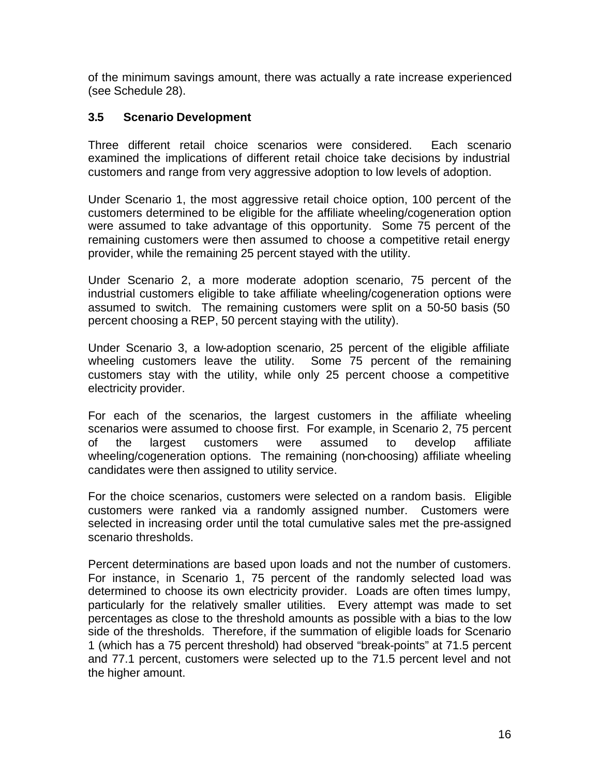of the minimum savings amount, there was actually a rate increase experienced (see Schedule 28).

## **3.5 Scenario Development**

Three different retail choice scenarios were considered. Each scenario examined the implications of different retail choice take decisions by industrial customers and range from very aggressive adoption to low levels of adoption.

Under Scenario 1, the most aggressive retail choice option, 100 percent of the customers determined to be eligible for the affiliate wheeling/cogeneration option were assumed to take advantage of this opportunity. Some 75 percent of the remaining customers were then assumed to choose a competitive retail energy provider, while the remaining 25 percent stayed with the utility.

Under Scenario 2, a more moderate adoption scenario, 75 percent of the industrial customers eligible to take affiliate wheeling/cogeneration options were assumed to switch. The remaining customers were split on a 50-50 basis (50 percent choosing a REP, 50 percent staying with the utility).

Under Scenario 3, a low-adoption scenario, 25 percent of the eligible affiliate wheeling customers leave the utility. Some 75 percent of the remaining customers stay with the utility, while only 25 percent choose a competitive electricity provider.

For each of the scenarios, the largest customers in the affiliate wheeling scenarios were assumed to choose first. For example, in Scenario 2, 75 percent of the largest customers were assumed to develop affiliate wheeling/cogeneration options. The remaining (non-choosing) affiliate wheeling candidates were then assigned to utility service.

For the choice scenarios, customers were selected on a random basis. Eligible customers were ranked via a randomly assigned number. Customers were selected in increasing order until the total cumulative sales met the pre-assigned scenario thresholds.

Percent determinations are based upon loads and not the number of customers. For instance, in Scenario 1, 75 percent of the randomly selected load was determined to choose its own electricity provider. Loads are often times lumpy, particularly for the relatively smaller utilities. Every attempt was made to set percentages as close to the threshold amounts as possible with a bias to the low side of the thresholds. Therefore, if the summation of eligible loads for Scenario 1 (which has a 75 percent threshold) had observed "break-points" at 71.5 percent and 77.1 percent, customers were selected up to the 71.5 percent level and not the higher amount.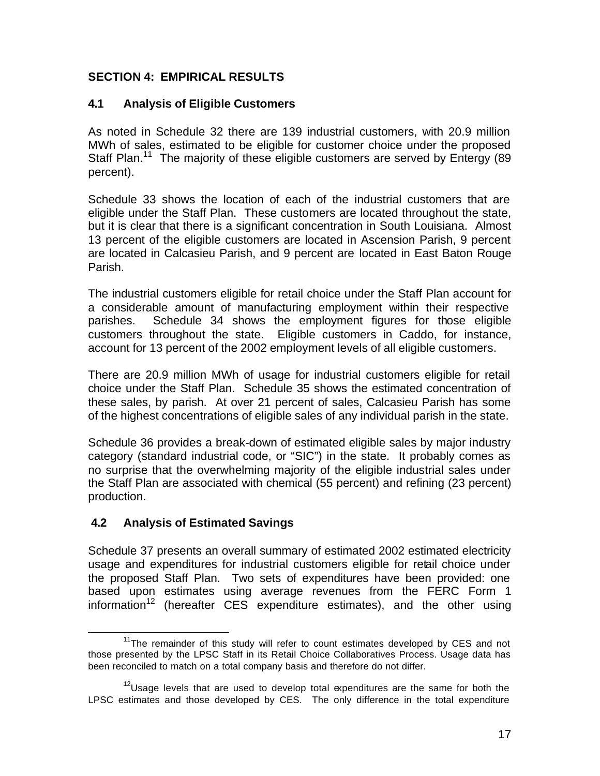# **SECTION 4: EMPIRICAL RESULTS**

## **4.1 Analysis of Eligible Customers**

As noted in Schedule 32 there are 139 industrial customers, with 20.9 million MWh of sales, estimated to be eligible for customer choice under the proposed Staff Plan.<sup>11</sup> The majority of these eligible customers are served by Entergy (89 percent).

Schedule 33 shows the location of each of the industrial customers that are eligible under the Staff Plan. These customers are located throughout the state, but it is clear that there is a significant concentration in South Louisiana. Almost 13 percent of the eligible customers are located in Ascension Parish, 9 percent are located in Calcasieu Parish, and 9 percent are located in East Baton Rouge Parish.

The industrial customers eligible for retail choice under the Staff Plan account for a considerable amount of manufacturing employment within their respective parishes. Schedule 34 shows the employment figures for those eligible customers throughout the state. Eligible customers in Caddo, for instance, account for 13 percent of the 2002 employment levels of all eligible customers.

There are 20.9 million MWh of usage for industrial customers eligible for retail choice under the Staff Plan. Schedule 35 shows the estimated concentration of these sales, by parish. At over 21 percent of sales, Calcasieu Parish has some of the highest concentrations of eligible sales of any individual parish in the state.

Schedule 36 provides a break-down of estimated eligible sales by major industry category (standard industrial code, or "SIC") in the state. It probably comes as no surprise that the overwhelming majority of the eligible industrial sales under the Staff Plan are associated with chemical (55 percent) and refining (23 percent) production.

## **4.2 Analysis of Estimated Savings**

 $\overline{a}$ 

Schedule 37 presents an overall summary of estimated 2002 estimated electricity usage and expenditures for industrial customers eligible for retail choice under the proposed Staff Plan. Two sets of expenditures have been provided: one based upon estimates using average revenues from the FERC Form 1 information<sup>12</sup> (hereafter  $CES$  expenditure estimates), and the other using

 $11$ <sup>The</sup> remainder of this study will refer to count estimates developed by CES and not those presented by the LPSC Staff in its Retail Choice Collaboratives Process. Usage data has been reconciled to match on a total company basis and therefore do not differ.

 $12$ Usage levels that are used to develop total expenditures are the same for both the LPSC estimates and those developed by CES. The only difference in the total expenditure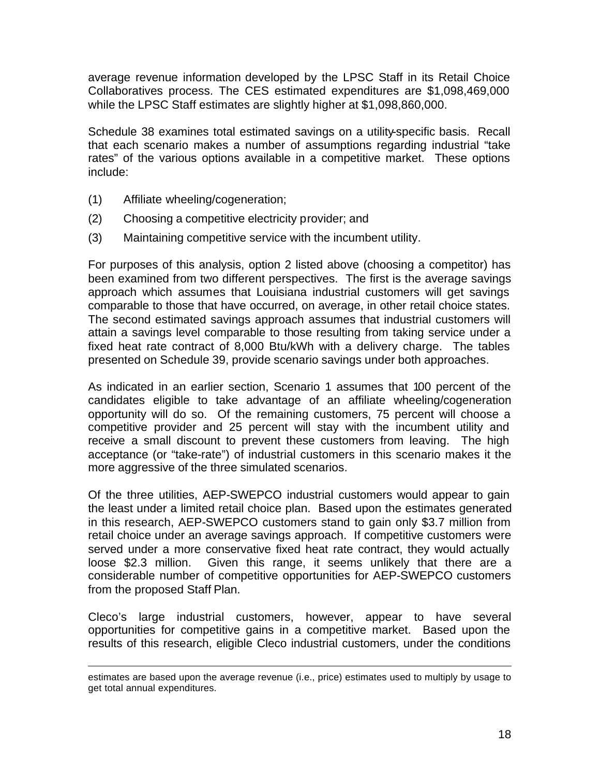average revenue information developed by the LPSC Staff in its Retail Choice Collaboratives process. The CES estimated expenditures are \$1,098,469,000 while the LPSC Staff estimates are slightly higher at \$1,098,860,000.

Schedule 38 examines total estimated savings on a utility-specific basis. Recall that each scenario makes a number of assumptions regarding industrial "take rates" of the various options available in a competitive market. These options include:

(1) Affiliate wheeling/cogeneration;

 $\overline{a}$ 

- (2) Choosing a competitive electricity provider; and
- (3) Maintaining competitive service with the incumbent utility.

For purposes of this analysis, option 2 listed above (choosing a competitor) has been examined from two different perspectives. The first is the average savings approach which assumes that Louisiana industrial customers will get savings comparable to those that have occurred, on average, in other retail choice states. The second estimated savings approach assumes that industrial customers will attain a savings level comparable to those resulting from taking service under a fixed heat rate contract of 8,000 Btu/kWh with a delivery charge. The tables presented on Schedule 39, provide scenario savings under both approaches.

As indicated in an earlier section, Scenario 1 assumes that 100 percent of the candidates eligible to take advantage of an affiliate wheeling/cogeneration opportunity will do so. Of the remaining customers, 75 percent will choose a competitive provider and 25 percent will stay with the incumbent utility and receive a small discount to prevent these customers from leaving. The high acceptance (or "take-rate") of industrial customers in this scenario makes it the more aggressive of the three simulated scenarios.

Of the three utilities, AEP-SWEPCO industrial customers would appear to gain the least under a limited retail choice plan. Based upon the estimates generated in this research, AEP-SWEPCO customers stand to gain only \$3.7 million from retail choice under an average savings approach. If competitive customers were served under a more conservative fixed heat rate contract, they would actually loose \$2.3 million. Given this range, it seems unlikely that there are a considerable number of competitive opportunities for AEP-SWEPCO customers from the proposed Staff Plan.

Cleco's large industrial customers, however, appear to have several opportunities for competitive gains in a competitive market. Based upon the results of this research, eligible Cleco industrial customers, under the conditions

estimates are based upon the average revenue (i.e., price) estimates used to multiply by usage to get total annual expenditures.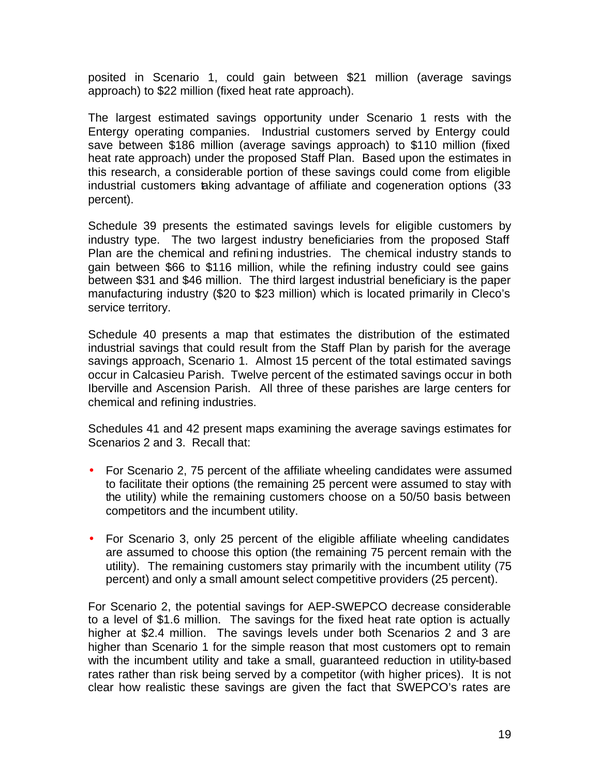posited in Scenario 1, could gain between \$21 million (average savings approach) to \$22 million (fixed heat rate approach).

The largest estimated savings opportunity under Scenario 1 rests with the Entergy operating companies. Industrial customers served by Entergy could save between \$186 million (average savings approach) to \$110 million (fixed heat rate approach) under the proposed Staff Plan. Based upon the estimates in this research, a considerable portion of these savings could come from eligible industrial customers taking advantage of affiliate and cogeneration options (33 percent).

Schedule 39 presents the estimated savings levels for eligible customers by industry type. The two largest industry beneficiaries from the proposed Staff Plan are the chemical and refining industries. The chemical industry stands to gain between \$66 to \$116 million, while the refining industry could see gains between \$31 and \$46 million. The third largest industrial beneficiary is the paper manufacturing industry (\$20 to \$23 million) which is located primarily in Cleco's service territory.

Schedule 40 presents a map that estimates the distribution of the estimated industrial savings that could result from the Staff Plan by parish for the average savings approach, Scenario 1. Almost 15 percent of the total estimated savings occur in Calcasieu Parish. Twelve percent of the estimated savings occur in both Iberville and Ascension Parish. All three of these parishes are large centers for chemical and refining industries.

Schedules 41 and 42 present maps examining the average savings estimates for Scenarios 2 and 3. Recall that:

- For Scenario 2, 75 percent of the affiliate wheeling candidates were assumed to facilitate their options (the remaining 25 percent were assumed to stay with the utility) while the remaining customers choose on a 50/50 basis between competitors and the incumbent utility.
- For Scenario 3, only 25 percent of the eligible affiliate wheeling candidates are assumed to choose this option (the remaining 75 percent remain with the utility). The remaining customers stay primarily with the incumbent utility (75 percent) and only a small amount select competitive providers (25 percent).

For Scenario 2, the potential savings for AEP-SWEPCO decrease considerable to a level of \$1.6 million. The savings for the fixed heat rate option is actually higher at \$2.4 million. The savings levels under both Scenarios 2 and 3 are higher than Scenario 1 for the simple reason that most customers opt to remain with the incumbent utility and take a small, guaranteed reduction in utility-based rates rather than risk being served by a competitor (with higher prices). It is not clear how realistic these savings are given the fact that SWEPCO's rates are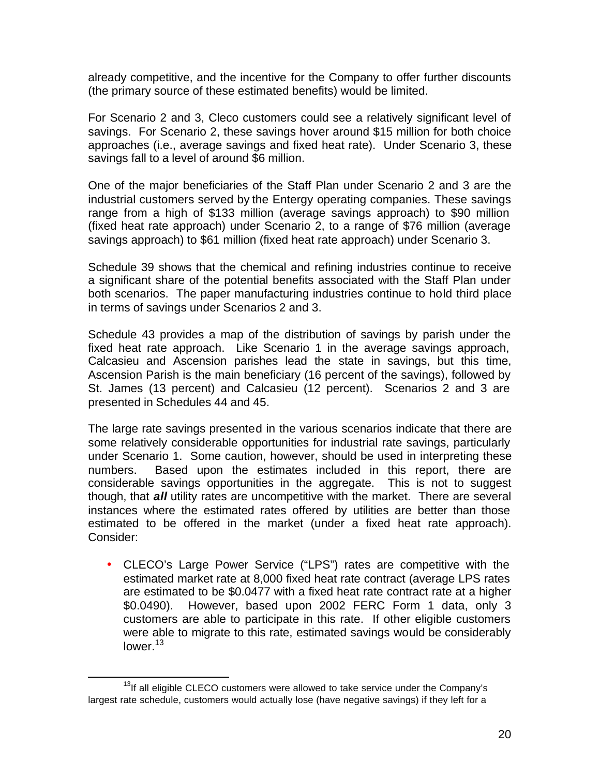already competitive, and the incentive for the Company to offer further discounts (the primary source of these estimated benefits) would be limited.

For Scenario 2 and 3, Cleco customers could see a relatively significant level of savings. For Scenario 2, these savings hover around \$15 million for both choice approaches (i.e., average savings and fixed heat rate). Under Scenario 3, these savings fall to a level of around \$6 million.

One of the major beneficiaries of the Staff Plan under Scenario 2 and 3 are the industrial customers served by the Entergy operating companies. These savings range from a high of \$133 million (average savings approach) to \$90 million (fixed heat rate approach) under Scenario 2, to a range of \$76 million (average savings approach) to \$61 million (fixed heat rate approach) under Scenario 3.

Schedule 39 shows that the chemical and refining industries continue to receive a significant share of the potential benefits associated with the Staff Plan under both scenarios. The paper manufacturing industries continue to hold third place in terms of savings under Scenarios 2 and 3.

Schedule 43 provides a map of the distribution of savings by parish under the fixed heat rate approach. Like Scenario 1 in the average savings approach, Calcasieu and Ascension parishes lead the state in savings, but this time, Ascension Parish is the main beneficiary (16 percent of the savings), followed by St. James (13 percent) and Calcasieu (12 percent). Scenarios 2 and 3 are presented in Schedules 44 and 45.

The large rate savings presented in the various scenarios indicate that there are some relatively considerable opportunities for industrial rate savings, particularly under Scenario 1. Some caution, however, should be used in interpreting these numbers. Based upon the estimates included in this report, there are considerable savings opportunities in the aggregate. This is not to suggest though, that *all* utility rates are uncompetitive with the market. There are several instances where the estimated rates offered by utilities are better than those estimated to be offered in the market (under a fixed heat rate approach). Consider:

• CLECO's Large Power Service ("LPS") rates are competitive with the estimated market rate at 8,000 fixed heat rate contract (average LPS rates are estimated to be \$0.0477 with a fixed heat rate contract rate at a higher \$0.0490). However, based upon 2002 FERC Form 1 data, only 3 customers are able to participate in this rate. If other eligible customers were able to migrate to this rate, estimated savings would be considerably lower. $13$ 

 $\overline{a}$ 

 $13$ If all eligible CLECO customers were allowed to take service under the Company's largest rate schedule, customers would actually lose (have negative savings) if they left for a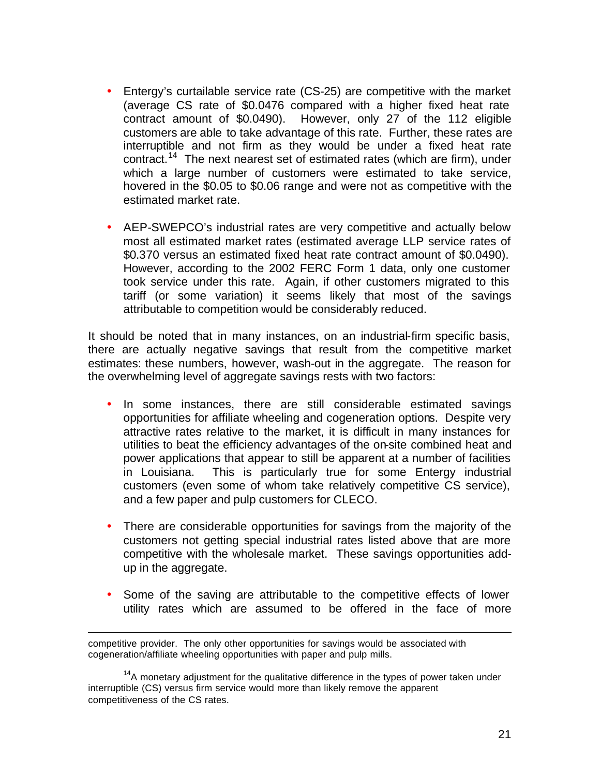- Entergy's curtailable service rate (CS-25) are competitive with the market (average CS rate of \$0.0476 compared with a higher fixed heat rate contract amount of \$0.0490). However, only 27 of the 112 eligible customers are able to take advantage of this rate. Further, these rates are interruptible and not firm as they would be under a fixed heat rate contract.<sup>14</sup> The next nearest set of estimated rates (which are firm), under which a large number of customers were estimated to take service, hovered in the \$0.05 to \$0.06 range and were not as competitive with the estimated market rate.
- AEP-SWEPCO's industrial rates are very competitive and actually below most all estimated market rates (estimated average LLP service rates of \$0.370 versus an estimated fixed heat rate contract amount of \$0.0490). However, according to the 2002 FERC Form 1 data, only one customer took service under this rate. Again, if other customers migrated to this tariff (or some variation) it seems likely that most of the savings attributable to competition would be considerably reduced.

It should be noted that in many instances, on an industrial-firm specific basis, there are actually negative savings that result from the competitive market estimates: these numbers, however, wash-out in the aggregate. The reason for the overwhelming level of aggregate savings rests with two factors:

- In some instances, there are still considerable estimated savings opportunities for affiliate wheeling and cogeneration options. Despite very attractive rates relative to the market, it is difficult in many instances for utilities to beat the efficiency advantages of the on-site combined heat and power applications that appear to still be apparent at a number of facilities in Louisiana. This is particularly true for some Entergy industrial customers (even some of whom take relatively competitive CS service), and a few paper and pulp customers for CLECO.
- There are considerable opportunities for savings from the majority of the customers not getting special industrial rates listed above that are more competitive with the wholesale market. These savings opportunities addup in the aggregate.
- Some of the saving are attributable to the competitive effects of lower utility rates which are assumed to be offered in the face of more

 $\overline{a}$ 

competitive provider. The only other opportunities for savings would be associated with cogeneration/affiliate wheeling opportunities with paper and pulp mills.

 $14A$  monetary adjustment for the qualitative difference in the types of power taken under interruptible (CS) versus firm service would more than likely remove the apparent competitiveness of the CS rates.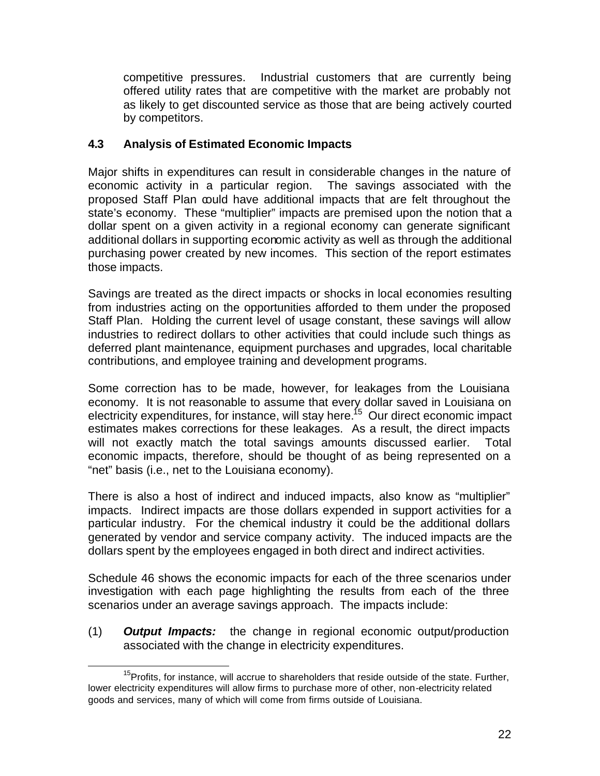competitive pressures. Industrial customers that are currently being offered utility rates that are competitive with the market are probably not as likely to get discounted service as those that are being actively courted by competitors.

## **4.3 Analysis of Estimated Economic Impacts**

Major shifts in expenditures can result in considerable changes in the nature of economic activity in a particular region. The savings associated with the proposed Staff Plan could have additional impacts that are felt throughout the state's economy. These "multiplier" impacts are premised upon the notion that a dollar spent on a given activity in a regional economy can generate significant additional dollars in supporting economic activity as well as through the additional purchasing power created by new incomes. This section of the report estimates those impacts.

Savings are treated as the direct impacts or shocks in local economies resulting from industries acting on the opportunities afforded to them under the proposed Staff Plan. Holding the current level of usage constant, these savings will allow industries to redirect dollars to other activities that could include such things as deferred plant maintenance, equipment purchases and upgrades, local charitable contributions, and employee training and development programs.

Some correction has to be made, however, for leakages from the Louisiana economy. It is not reasonable to assume that every dollar saved in Louisiana on electricity expenditures, for instance, will stay here.<sup>15</sup> Our direct economic impact estimates makes corrections for these leakages. As a result, the direct impacts will not exactly match the total savings amounts discussed earlier. Total economic impacts, therefore, should be thought of as being represented on a "net" basis (i.e., net to the Louisiana economy).

There is also a host of indirect and induced impacts, also know as "multiplier" impacts. Indirect impacts are those dollars expended in support activities for a particular industry. For the chemical industry it could be the additional dollars generated by vendor and service company activity. The induced impacts are the dollars spent by the employees engaged in both direct and indirect activities.

Schedule 46 shows the economic impacts for each of the three scenarios under investigation with each page highlighting the results from each of the three scenarios under an average savings approach. The impacts include:

(1) *Output Impacts:* the change in regional economic output/production associated with the change in electricity expenditures.

 $\overline{a}$ <sup>15</sup>Profits, for instance, will accrue to shareholders that reside outside of the state. Further, lower electricity expenditures will allow firms to purchase more of other, non-electricity related goods and services, many of which will come from firms outside of Louisiana.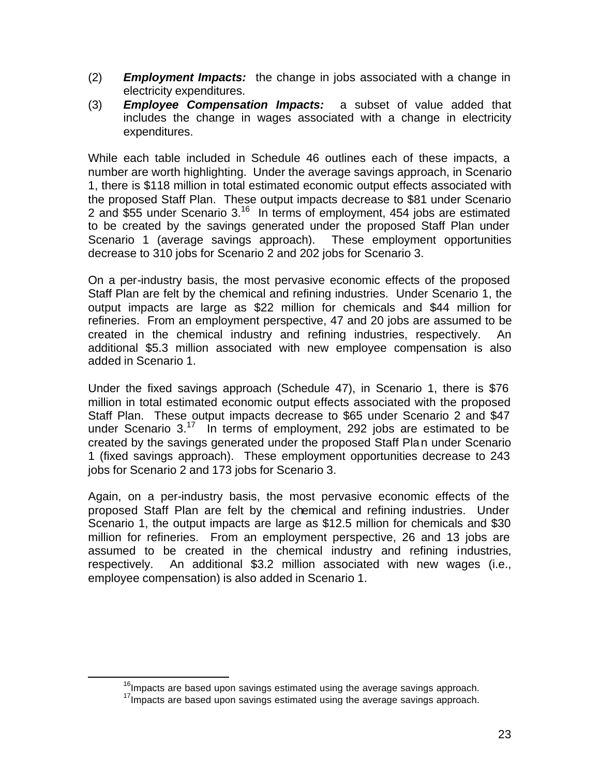- (2) *Employment Impacts:* the change in jobs associated with a change in electricity expenditures.
- (3) *Employee Compensation Impacts:* a subset of value added that includes the change in wages associated with a change in electricity expenditures.

While each table included in Schedule 46 outlines each of these impacts, a number are worth highlighting. Under the average savings approach, in Scenario 1, there is \$118 million in total estimated economic output effects associated with the proposed Staff Plan. These output impacts decrease to \$81 under Scenario 2 and \$55 under Scenario 3.<sup>16</sup> In terms of employment, 454 jobs are estimated to be created by the savings generated under the proposed Staff Plan under Scenario 1 (average savings approach). These employment opportunities decrease to 310 jobs for Scenario 2 and 202 jobs for Scenario 3.

On a per-industry basis, the most pervasive economic effects of the proposed Staff Plan are felt by the chemical and refining industries. Under Scenario 1, the output impacts are large as \$22 million for chemicals and \$44 million for refineries. From an employment perspective, 47 and 20 jobs are assumed to be created in the chemical industry and refining industries, respectively. An additional \$5.3 million associated with new employee compensation is also added in Scenario 1.

Under the fixed savings approach (Schedule 47), in Scenario 1, there is \$76 million in total estimated economic output effects associated with the proposed Staff Plan. These output impacts decrease to \$65 under Scenario 2 and \$47 under Scenario 3.<sup>17</sup> In terms of employment, 292 jobs are estimated to be created by the savings generated under the proposed Staff Plan under Scenario 1 (fixed savings approach). These employment opportunities decrease to 243 jobs for Scenario 2 and 173 jobs for Scenario 3.

Again, on a per-industry basis, the most pervasive economic effects of the proposed Staff Plan are felt by the chemical and refining industries. Under Scenario 1, the output impacts are large as \$12.5 million for chemicals and \$30 million for refineries. From an employment perspective, 26 and 13 jobs are assumed to be created in the chemical industry and refining industries, respectively. An additional \$3.2 million associated with new wages (i.e., employee compensation) is also added in Scenario 1.

 $\overline{a}$ 

 $16$ Impacts are based upon savings estimated using the average savings approach.

 $17$ Impacts are based upon savings estimated using the average savings approach.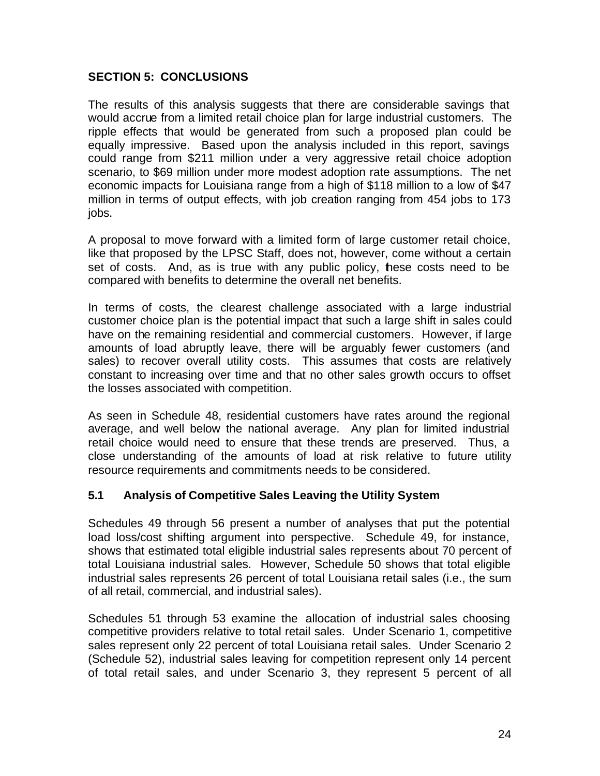## **SECTION 5: CONCLUSIONS**

The results of this analysis suggests that there are considerable savings that would accrue from a limited retail choice plan for large industrial customers. The ripple effects that would be generated from such a proposed plan could be equally impressive. Based upon the analysis included in this report, savings could range from \$211 million under a very aggressive retail choice adoption scenario, to \$69 million under more modest adoption rate assumptions. The net economic impacts for Louisiana range from a high of \$118 million to a low of \$47 million in terms of output effects, with job creation ranging from 454 jobs to 173 jobs.

A proposal to move forward with a limited form of large customer retail choice, like that proposed by the LPSC Staff, does not, however, come without a certain set of costs. And, as is true with any public policy, these costs need to be compared with benefits to determine the overall net benefits.

In terms of costs, the clearest challenge associated with a large industrial customer choice plan is the potential impact that such a large shift in sales could have on the remaining residential and commercial customers. However, if large amounts of load abruptly leave, there will be arguably fewer customers (and sales) to recover overall utility costs. This assumes that costs are relatively constant to increasing over time and that no other sales growth occurs to offset the losses associated with competition.

As seen in Schedule 48, residential customers have rates around the regional average, and well below the national average. Any plan for limited industrial retail choice would need to ensure that these trends are preserved. Thus, a close understanding of the amounts of load at risk relative to future utility resource requirements and commitments needs to be considered.

## **5.1 Analysis of Competitive Sales Leaving the Utility System**

Schedules 49 through 56 present a number of analyses that put the potential load loss/cost shifting argument into perspective. Schedule 49, for instance, shows that estimated total eligible industrial sales represents about 70 percent of total Louisiana industrial sales. However, Schedule 50 shows that total eligible industrial sales represents 26 percent of total Louisiana retail sales (i.e., the sum of all retail, commercial, and industrial sales).

Schedules 51 through 53 examine the allocation of industrial sales choosing competitive providers relative to total retail sales. Under Scenario 1, competitive sales represent only 22 percent of total Louisiana retail sales. Under Scenario 2 (Schedule 52), industrial sales leaving for competition represent only 14 percent of total retail sales, and under Scenario 3, they represent 5 percent of all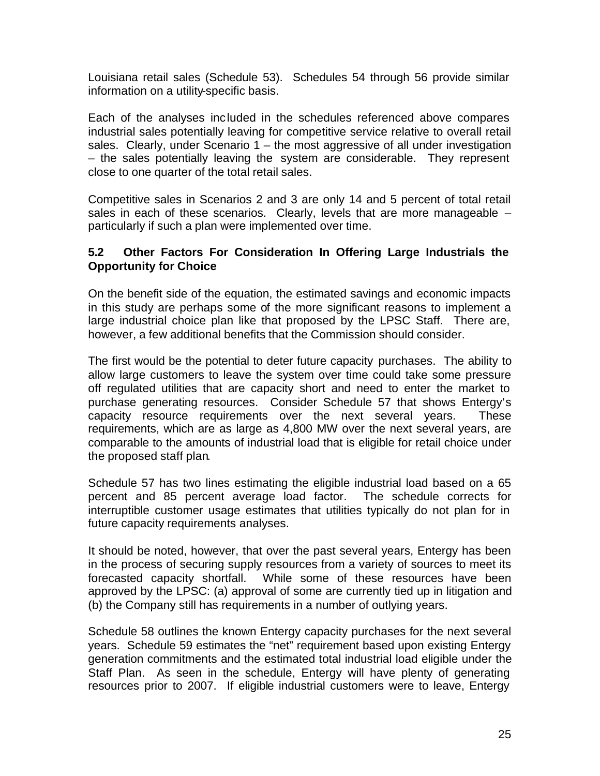Louisiana retail sales (Schedule 53). Schedules 54 through 56 provide similar information on a utility-specific basis.

Each of the analyses included in the schedules referenced above compares industrial sales potentially leaving for competitive service relative to overall retail sales. Clearly, under Scenario  $1 -$  the most aggressive of all under investigation – the sales potentially leaving the system are considerable. They represent close to one quarter of the total retail sales.

Competitive sales in Scenarios 2 and 3 are only 14 and 5 percent of total retail sales in each of these scenarios. Clearly, levels that are more manageable – particularly if such a plan were implemented over time.

## **5.2 Other Factors For Consideration In Offering Large Industrials the Opportunity for Choice**

On the benefit side of the equation, the estimated savings and economic impacts in this study are perhaps some of the more significant reasons to implement a large industrial choice plan like that proposed by the LPSC Staff. There are, however, a few additional benefits that the Commission should consider.

The first would be the potential to deter future capacity purchases. The ability to allow large customers to leave the system over time could take some pressure off regulated utilities that are capacity short and need to enter the market to purchase generating resources. Consider Schedule 57 that shows Entergy's capacity resource requirements over the next several years. These requirements, which are as large as 4,800 MW over the next several years, are comparable to the amounts of industrial load that is eligible for retail choice under the proposed staff plan.

Schedule 57 has two lines estimating the eligible industrial load based on a 65 percent and 85 percent average load factor. The schedule corrects for interruptible customer usage estimates that utilities typically do not plan for in future capacity requirements analyses.

It should be noted, however, that over the past several years, Entergy has been in the process of securing supply resources from a variety of sources to meet its forecasted capacity shortfall. While some of these resources have been approved by the LPSC: (a) approval of some are currently tied up in litigation and (b) the Company still has requirements in a number of outlying years.

Schedule 58 outlines the known Entergy capacity purchases for the next several years. Schedule 59 estimates the "net" requirement based upon existing Entergy generation commitments and the estimated total industrial load eligible under the Staff Plan. As seen in the schedule, Entergy will have plenty of generating resources prior to 2007. If eligible industrial customers were to leave, Entergy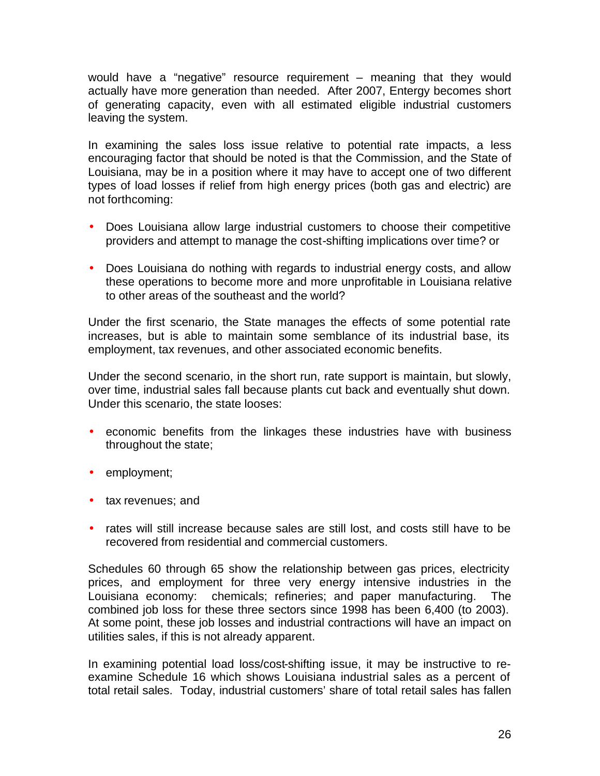would have a "negative" resource requirement – meaning that they would actually have more generation than needed. After 2007, Entergy becomes short of generating capacity, even with all estimated eligible industrial customers leaving the system.

In examining the sales loss issue relative to potential rate impacts, a less encouraging factor that should be noted is that the Commission, and the State of Louisiana, may be in a position where it may have to accept one of two different types of load losses if relief from high energy prices (both gas and electric) are not forthcoming:

- Does Louisiana allow large industrial customers to choose their competitive providers and attempt to manage the cost-shifting implications over time? or
- Does Louisiana do nothing with regards to industrial energy costs, and allow these operations to become more and more unprofitable in Louisiana relative to other areas of the southeast and the world?

Under the first scenario, the State manages the effects of some potential rate increases, but is able to maintain some semblance of its industrial base, its employment, tax revenues, and other associated economic benefits.

Under the second scenario, in the short run, rate support is maintain, but slowly, over time, industrial sales fall because plants cut back and eventually shut down. Under this scenario, the state looses:

- economic benefits from the linkages these industries have with business throughout the state;
- employment;
- tax revenues; and
- rates will still increase because sales are still lost, and costs still have to be recovered from residential and commercial customers.

Schedules 60 through 65 show the relationship between gas prices, electricity prices, and employment for three very energy intensive industries in the Louisiana economy: chemicals; refineries; and paper manufacturing. The combined job loss for these three sectors since 1998 has been 6,400 (to 2003). At some point, these job losses and industrial contractions will have an impact on utilities sales, if this is not already apparent.

In examining potential load loss/cost-shifting issue, it may be instructive to reexamine Schedule 16 which shows Louisiana industrial sales as a percent of total retail sales. Today, industrial customers' share of total retail sales has fallen